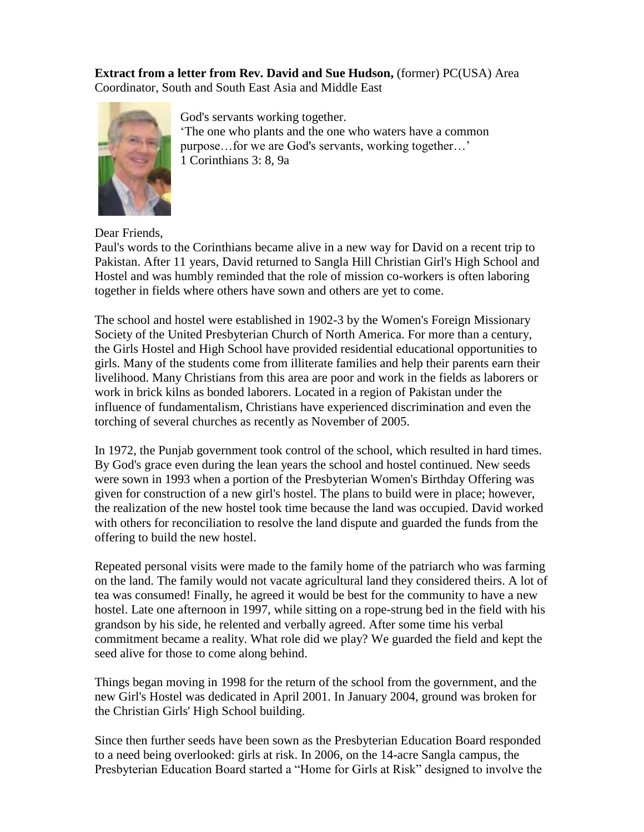**Extract from a letter from Rev. David and Sue Hudson,** (former) PC(USA) Area Coordinator, South and South East Asia and Middle East



God's servants working together. 'The one who plants and the one who waters have a common purpose…for we are God's servants, working together…' 1 Corinthians 3: 8, 9a

Dear Friends,

Paul's words to the Corinthians became alive in a new way for David on a recent trip to Pakistan. After 11 years, David returned to Sangla Hill Christian Girl's High School and Hostel and was humbly reminded that the role of mission co-workers is often laboring together in fields where others have sown and others are yet to come.

The school and hostel were established in 1902-3 by the Women's Foreign Missionary Society of the United Presbyterian Church of North America. For more than a century, the Girls Hostel and High School have provided residential educational opportunities to girls. Many of the students come from illiterate families and help their parents earn their livelihood. Many Christians from this area are poor and work in the fields as laborers or work in brick kilns as bonded laborers. Located in a region of Pakistan under the influence of fundamentalism, Christians have experienced discrimination and even the torching of several churches as recently as November of 2005.

In 1972, the Punjab government took control of the school, which resulted in hard times. By God's grace even during the lean years the school and hostel continued. New seeds were sown in 1993 when a portion of the Presbyterian Women's Birthday Offering was given for construction of a new girl's hostel. The plans to build were in place; however, the realization of the new hostel took time because the land was occupied. David worked with others for reconciliation to resolve the land dispute and guarded the funds from the offering to build the new hostel.

Repeated personal visits were made to the family home of the patriarch who was farming on the land. The family would not vacate agricultural land they considered theirs. A lot of tea was consumed! Finally, he agreed it would be best for the community to have a new hostel. Late one afternoon in 1997, while sitting on a rope-strung bed in the field with his grandson by his side, he relented and verbally agreed. After some time his verbal commitment became a reality. What role did we play? We guarded the field and kept the seed alive for those to come along behind.

Things began moving in 1998 for the return of the school from the government, and the new Girl's Hostel was dedicated in April 2001. In January 2004, ground was broken for the Christian Girls' High School building.

Since then further seeds have been sown as the Presbyterian Education Board responded to a need being overlooked: girls at risk. In 2006, on the 14-acre Sangla campus, the Presbyterian Education Board started a "Home for Girls at Risk" designed to involve the